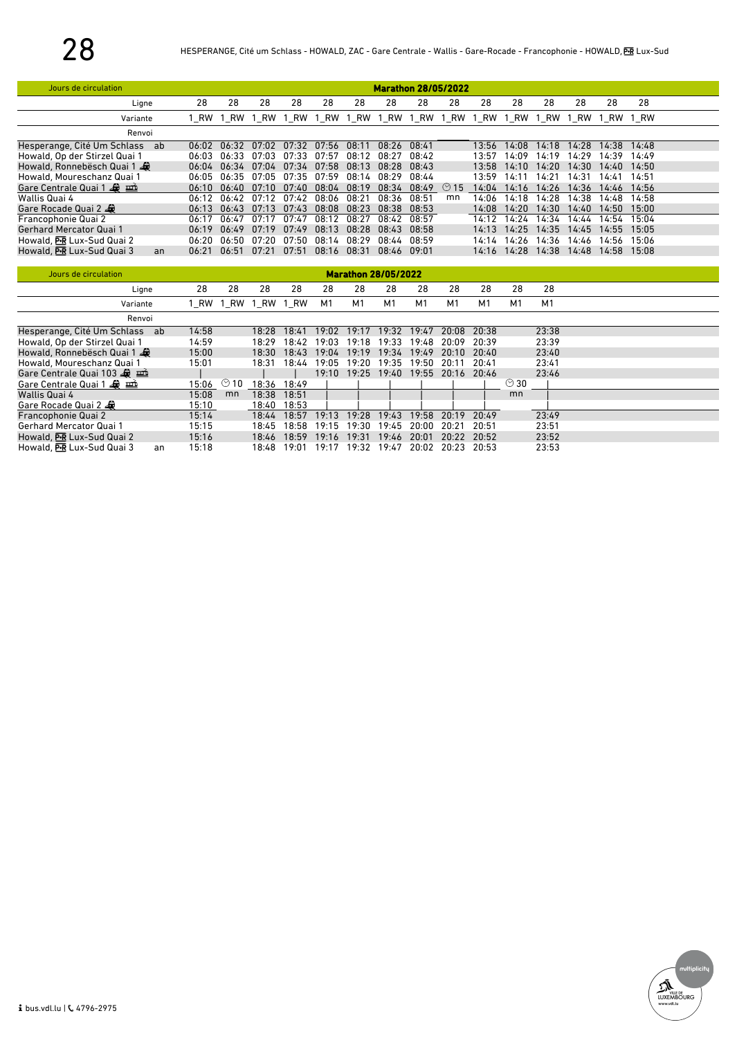| Jours de circulation              |       | <b>Marathon 28/05/2022</b> |       |       |       |       |       |       |            |       |           |       |       |                |       |  |
|-----------------------------------|-------|----------------------------|-------|-------|-------|-------|-------|-------|------------|-------|-----------|-------|-------|----------------|-------|--|
| Ligne                             | 28    | 28                         | 28    | 28    | 28    | 28    | 28    | 28    | 28         | 28    | 28        | 28    | 28    | 28             | 28    |  |
| Variante                          |       | 1 RW 1 RW                  | 1 RW  | 1 RW  | 1 RW  | 1 RW  | 1 RW  | 1 RW  | 1 RW       | 1 RW  | <b>RW</b> | RW    |       | 1 RW 1 RW 1 RW |       |  |
| Renvoi                            |       |                            |       |       |       |       |       |       |            |       |           |       |       |                |       |  |
| Hesperange, Cité Um Schlass<br>ab | 06:02 | 06:32                      | 07.02 | 07:32 | 07:56 | 08:11 | 08:26 | 08:41 |            | 13:56 | 14:08     | 14:18 | 14:28 | 14:38          | 14:48 |  |
| Howald, Op der Stirzel Quai 1     | 06:03 | 06:33                      | 07:03 | 07:33 | 07:57 | 08:12 | 08:27 | 08:42 |            | 13:57 | 14:09     | 14:19 | 14:29 | 14:39          | 14:49 |  |
| Howald, Ronnebësch Quai 1         | በ6:በ4 | 06:34                      | 07:04 | 07:34 | 07:58 | 08:13 | 08:28 | 08:43 |            | 13:58 | 14:10     | 14:20 | 14:30 | 14:40          | 14:50 |  |
| Howald, Moureschanz Quai 1        | 06:05 | 06:35                      | 07:05 | 07:35 | 07:59 | 08:14 | 08:29 | 08:44 |            | 13:59 | 14:1      | 14:21 | 14:31 | 14:41          | 14:51 |  |
| Gare Centrale Quai 1              | 06:10 | (16:40)                    | 07.10 | n7.40 | 08:04 | 08:19 | 08:34 | 08:49 | $\circ$ 15 | 14:04 | 14:16     | 14:26 | 14:36 | 14:46          | 14:56 |  |
| Wallis Quai 4                     | 06:12 | 06:42                      | 07.12 | 07.42 | 08:06 | 08:21 | 08:36 | 08:51 | mn         | 14:06 | 14:18     | 14:28 | 4:38  | 14:48          | 14:58 |  |
| Gare Rocade Quai 2                | 06:13 | 06:43                      | 07:13 | 07:43 | 08:08 | 08:23 | 08:38 | 08:53 |            | 14:08 | 14:20     | 14:30 | 14:40 | 14:50          | 15:00 |  |
| Francophonie Quai 2               | 06:17 | 06:47                      | 07:17 | 07:47 | 08:12 | 08:27 | 08:42 | 08:57 |            | 14:12 | 14:24     | 14:34 | 14:44 | 14:54          | 15:04 |  |
| Gerhard Mercator Quai 1           | 06:19 | 06:49                      | 07:19 | 07:49 | 08:13 | 08:28 | 08:43 | 08:58 |            | 14:13 | 14:25     | 14:35 | 14:45 | 14:55          | 15:05 |  |
| Howald, PR Lux-Sud Quai 2         | በ6:2በ | በ6:50                      | 07:20 | 07:50 | 08:14 | 08:29 | 08:44 | 08:59 |            | 14:14 | 14:26     | 14:36 | 14:46 | 14:56          | 15:06 |  |
| Howald, PR Lux-Sud Quai 3<br>an   | 06:21 | 06:51                      | 07:21 | 07:51 | 08:16 | 08:31 | 08:46 | 09:01 |            | 14:16 | 14:28     | 14:38 | 14:48 | 14:58          | 15:08 |  |
|                                   |       |                            |       |       |       |       |       |       |            |       |           |       |       |                |       |  |

| Jours de circulation          |    | <b>Marathon 28/05/2022</b> |                   |           |       |       |                 |                |       |                   |       |            |                |  |
|-------------------------------|----|----------------------------|-------------------|-----------|-------|-------|-----------------|----------------|-------|-------------------|-------|------------|----------------|--|
| Ligne                         |    | 28                         | 28                | 28        | 28    | 28    | 28              | 28             | 28    | 28                | 28    | 28         | 28             |  |
| Variante                      |    | 1 RW                       | 1 RW              | 1 RW 1 RW |       | M1    | M1              | M <sub>1</sub> | M1    | M1                | M1    | M1         | M <sub>1</sub> |  |
| Renvoi                        |    |                            |                   |           |       |       |                 |                |       |                   |       |            |                |  |
| Hesperange, Cité Um Schlass   | ab | 14:58                      |                   | 18:28     | 18:41 | 19:02 | 19:17           | 19:32          | 19:47 | 20:08             | 20:38 |            | 23:38          |  |
| Howald, Op der Stirzel Quai 1 |    | 14:59                      |                   | 18:29     | 18:42 | 19:03 | 19:18           | 19:33          | 19:48 | 20:09             | 20:39 |            | 23:39          |  |
| Howald, Ronnebësch Quai 1     |    | 15:00                      |                   | 18:30     | 18:43 | 19:04 | 19:19           | 19:34          | 19:49 | 20:10             | 20:40 |            | 23:40          |  |
| Howald, Moureschanz Quai 1    |    | 15:01                      |                   | 18:31     | 18:44 | 19:05 | 19:20           | 19:35          | 19:50 | 20:11             | 20:41 |            | 23:41          |  |
| Gare Centrale Quai 103        |    |                            |                   |           |       |       | $19:10$ $19:25$ | 19:40          |       | 19:55 20:16 20:46 |       |            | 23:46          |  |
| Gare Centrale Quai 1          |    | 15:06                      | $\circledcirc$ 10 | 18:36     | 18:49 |       |                 |                |       |                   |       | $\odot$ 30 |                |  |
| Wallis Quai 4                 |    | 15:08                      | mn                | 18:38     | 18:51 |       |                 |                |       |                   |       | mn         |                |  |
| Gare Rocade Quai 2            |    | 15:10                      |                   | 18:40     | 18:53 |       |                 |                |       |                   |       |            |                |  |
| Francophonie Quai 2           |    | 15:14                      |                   | 18:44     | 18:57 | 19:13 | 19:28           | 19:43          | 19:58 | 20:19             | 20:49 |            | 23:49          |  |
| Gerhard Mercator Quai 1       |    | 15:15                      |                   | 18:45     | 18:58 | 19:15 | 19:30           | 19:45          | 20:00 | 20:21             | 20:51 |            | 23:51          |  |
| Howald, PR Lux-Sud Quai 2     |    | 15:16                      |                   | 18:46     | 18:59 | 19:16 | 19:31           | 19:46          | 20:01 | 20:22             | 20:52 |            | 23:52          |  |
| Howald, PR Lux-Sud Quai 3     | an | 15:18                      |                   | 18:48     | 19:01 | 19:17 | 19:32           | 19:47          | 20:02 | 20:23             | 20:53 |            | 23:53          |  |